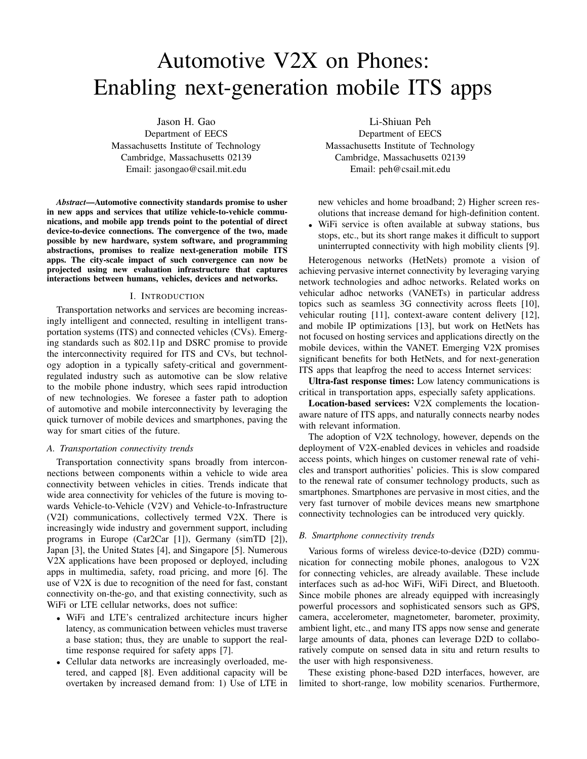# Automotive V2X on Phones: Enabling next-generation mobile ITS apps

Jason H. Gao Department of EECS Massachusetts Institute of Technology Cambridge, Massachusetts 02139 Email: jasongao@csail.mit.edu

*Abstract*—Automotive connectivity standards promise to usher in new apps and services that utilize vehicle-to-vehicle communications, and mobile app trends point to the potential of direct device-to-device connections. The convergence of the two, made possible by new hardware, system software, and programming abstractions, promises to realize next-generation mobile ITS apps. The city-scale impact of such convergence can now be projected using new evaluation infrastructure that captures interactions between humans, vehicles, devices and networks.

# I. INTRODUCTION

Transportation networks and services are becoming increasingly intelligent and connected, resulting in intelligent transportation systems (ITS) and connected vehicles (CVs). Emerging standards such as 802.11p and DSRC promise to provide the interconnectivity required for ITS and CVs, but technology adoption in a typically safety-critical and governmentregulated industry such as automotive can be slow relative to the mobile phone industry, which sees rapid introduction of new technologies. We foresee a faster path to adoption of automotive and mobile interconnectivity by leveraging the quick turnover of mobile devices and smartphones, paving the way for smart cities of the future.

#### *A. Transportation connectivity trends*

Transportation connectivity spans broadly from interconnections between components within a vehicle to wide area connectivity between vehicles in cities. Trends indicate that wide area connectivity for vehicles of the future is moving towards Vehicle-to-Vehicle (V2V) and Vehicle-to-Infrastructure (V2I) communications, collectively termed V2X. There is increasingly wide industry and government support, including programs in Europe (Car2Car [1]), Germany (simTD [2]), Japan [3], the United States [4], and Singapore [5]. Numerous V2X applications have been proposed or deployed, including apps in multimedia, safety, road pricing, and more [6]. The use of V2X is due to recognition of the need for fast, constant connectivity on-the-go, and that existing connectivity, such as WiFi or LTE cellular networks, does not suffice:

- WiFi and LTE's centralized architecture incurs higher latency, as communication between vehicles must traverse a base station; thus, they are unable to support the realtime response required for safety apps [7].
- Cellular data networks are increasingly overloaded, metered, and capped [8]. Even additional capacity will be overtaken by increased demand from: 1) Use of LTE in

Li-Shiuan Peh Department of EECS Massachusetts Institute of Technology Cambridge, Massachusetts 02139 Email: peh@csail.mit.edu

new vehicles and home broadband; 2) Higher screen resolutions that increase demand for high-definition content.

• WiFi service is often available at subway stations, bus stops, etc., but its short range makes it difficult to support uninterrupted connectivity with high mobility clients [9].

Heterogenous networks (HetNets) promote a vision of achieving pervasive internet connectivity by leveraging varying network technologies and adhoc networks. Related works on vehicular adhoc networks (VANETs) in particular address topics such as seamless 3G connectivity across fleets [10], vehicular routing [11], context-aware content delivery [12], and mobile IP optimizations [13], but work on HetNets has not focused on hosting services and applications directly on the mobile devices, within the VANET. Emerging V2X promises significant benefits for both HetNets, and for next-generation ITS apps that leapfrog the need to access Internet services:

Ultra-fast response times: Low latency communications is critical in transportation apps, especially safety applications.

Location-based services: V2X complements the locationaware nature of ITS apps, and naturally connects nearby nodes with relevant information.

The adoption of V2X technology, however, depends on the deployment of V2X-enabled devices in vehicles and roadside access points, which hinges on customer renewal rate of vehicles and transport authorities' policies. This is slow compared to the renewal rate of consumer technology products, such as smartphones. Smartphones are pervasive in most cities, and the very fast turnover of mobile devices means new smartphone connectivity technologies can be introduced very quickly.

# *B. Smartphone connectivity trends*

Various forms of wireless device-to-device (D2D) communication for connecting mobile phones, analogous to V2X for connecting vehicles, are already available. These include interfaces such as ad-hoc WiFi, WiFi Direct, and Bluetooth. Since mobile phones are already equipped with increasingly powerful processors and sophisticated sensors such as GPS, camera, accelerometer, magnetometer, barometer, proximity, ambient light, etc., and many ITS apps now sense and generate large amounts of data, phones can leverage D2D to collaboratively compute on sensed data in situ and return results to the user with high responsiveness.

These existing phone-based D2D interfaces, however, are limited to short-range, low mobility scenarios. Furthermore,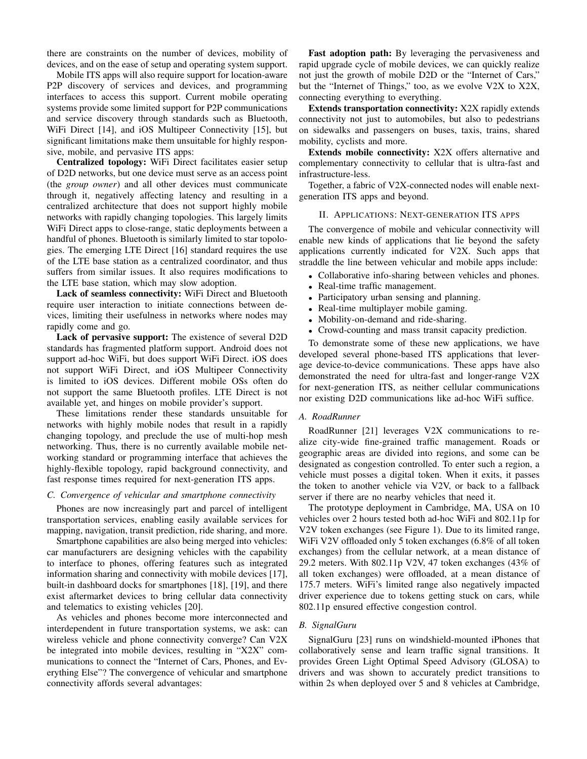there are constraints on the number of devices, mobility of devices, and on the ease of setup and operating system support.

Mobile ITS apps will also require support for location-aware P2P discovery of services and devices, and programming interfaces to access this support. Current mobile operating systems provide some limited support for P2P communications and service discovery through standards such as Bluetooth, WiFi Direct [14], and iOS Multipeer Connectivity [15], but significant limitations make them unsuitable for highly responsive, mobile, and pervasive ITS apps:

Centralized topology: WiFi Direct facilitates easier setup of D2D networks, but one device must serve as an access point (the *group owner*) and all other devices must communicate through it, negatively affecting latency and resulting in a centralized architecture that does not support highly mobile networks with rapidly changing topologies. This largely limits WiFi Direct apps to close-range, static deployments between a handful of phones. Bluetooth is similarly limited to star topologies. The emerging LTE Direct [16] standard requires the use of the LTE base station as a centralized coordinator, and thus suffers from similar issues. It also requires modifications to the LTE base station, which may slow adoption.

Lack of seamless connectivity: WiFi Direct and Bluetooth require user interaction to initiate connections between devices, limiting their usefulness in networks where nodes may rapidly come and go.

Lack of pervasive support: The existence of several D2D standards has fragmented platform support. Android does not support ad-hoc WiFi, but does support WiFi Direct. iOS does not support WiFi Direct, and iOS Multipeer Connectivity is limited to iOS devices. Different mobile OSs often do not support the same Bluetooth profiles. LTE Direct is not available yet, and hinges on mobile provider's support.

These limitations render these standards unsuitable for networks with highly mobile nodes that result in a rapidly changing topology, and preclude the use of multi-hop mesh networking. Thus, there is no currently available mobile networking standard or programming interface that achieves the highly-flexible topology, rapid background connectivity, and fast response times required for next-generation ITS apps.

#### *C. Convergence of vehicular and smartphone connectivity*

Phones are now increasingly part and parcel of intelligent transportation services, enabling easily available services for mapping, navigation, transit prediction, ride sharing, and more.

Smartphone capabilities are also being merged into vehicles: car manufacturers are designing vehicles with the capability to interface to phones, offering features such as integrated information sharing and connectivity with mobile devices [17], built-in dashboard docks for smartphones [18], [19], and there exist aftermarket devices to bring cellular data connectivity and telematics to existing vehicles [20].

As vehicles and phones become more interconnected and interdependent in future transportation systems, we ask: can wireless vehicle and phone connectivity converge? Can V2X be integrated into mobile devices, resulting in "X2X" communications to connect the "Internet of Cars, Phones, and Everything Else"? The convergence of vehicular and smartphone connectivity affords several advantages:

Fast adoption path: By leveraging the pervasiveness and rapid upgrade cycle of mobile devices, we can quickly realize not just the growth of mobile D2D or the "Internet of Cars," but the "Internet of Things," too, as we evolve V2X to X2X, connecting everything to everything.

Extends transportation connectivity: X2X rapidly extends connectivity not just to automobiles, but also to pedestrians on sidewalks and passengers on buses, taxis, trains, shared mobility, cyclists and more.

Extends mobile connectivity: X2X offers alternative and complementary connectivity to cellular that is ultra-fast and infrastructure-less.

Together, a fabric of V2X-connected nodes will enable nextgeneration ITS apps and beyond.

## II. APPLICATIONS: NEXT-GENERATION ITS APPS

The convergence of mobile and vehicular connectivity will enable new kinds of applications that lie beyond the safety applications currently indicated for V2X. Such apps that straddle the line between vehicular and mobile apps include:

- Collaborative info-sharing between vehicles and phones.
- Real-time traffic management.
- Participatory urban sensing and planning.
- Real-time multiplayer mobile gaming.
- Mobility-on-demand and ride-sharing.
- Crowd-counting and mass transit capacity prediction.

To demonstrate some of these new applications, we have developed several phone-based ITS applications that leverage device-to-device communications. These apps have also demonstrated the need for ultra-fast and longer-range V2X for next-generation ITS, as neither cellular communications nor existing D2D communications like ad-hoc WiFi suffice.

#### *A. RoadRunner*

RoadRunner [21] leverages V2X communications to realize city-wide fine-grained traffic management. Roads or geographic areas are divided into regions, and some can be designated as congestion controlled. To enter such a region, a vehicle must posses a digital token. When it exits, it passes the token to another vehicle via V2V, or back to a fallback server if there are no nearby vehicles that need it.

The prototype deployment in Cambridge, MA, USA on 10 vehicles over 2 hours tested both ad-hoc WiFi and 802.11p for V2V token exchanges (see Figure 1). Due to its limited range, WiFi V2V offloaded only 5 token exchanges (6.8% of all token exchanges) from the cellular network, at a mean distance of 29.2 meters. With 802.11p V2V, 47 token exchanges (43% of all token exchanges) were offloaded, at a mean distance of 175.7 meters. WiFi's limited range also negatively impacted driver experience due to tokens getting stuck on cars, while 802.11p ensured effective congestion control.

#### *B. SignalGuru*

SignalGuru [23] runs on windshield-mounted iPhones that collaboratively sense and learn traffic signal transitions. It provides Green Light Optimal Speed Advisory (GLOSA) to drivers and was shown to accurately predict transitions to within 2s when deployed over 5 and 8 vehicles at Cambridge,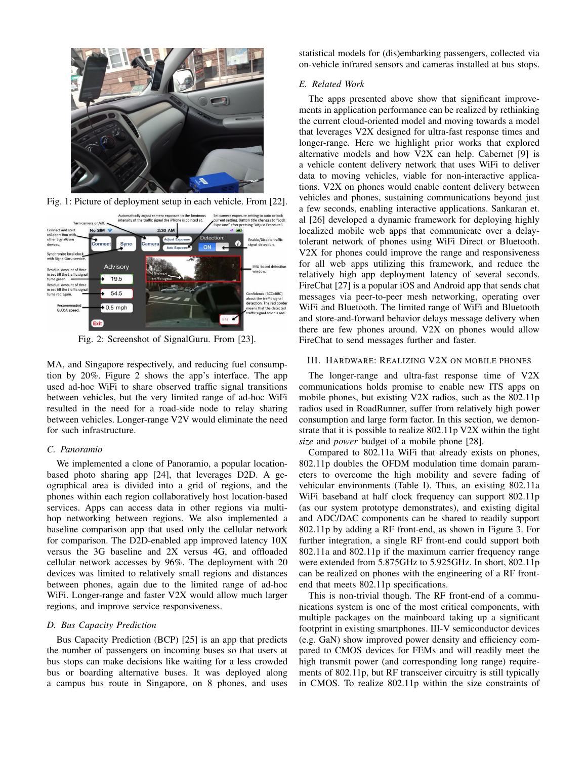

Fig. 1: Picture of deployment setup in each vehicle. From [22].



Fig. 2: Screenshot of SignalGuru. From [23].

MA, and Singapore respectively, and reducing fuel consumption by 20%. Figure 2 shows the app's interface. The app used ad-hoc WiFi to share observed traffic signal transitions between vehicles, but the very limited range of ad-hoc WiFi resulted in the need for a road-side node to relay sharing between vehicles. Longer-range V2V would eliminate the need for such infrastructure.

## *C. Panoramio*

We implemented a clone of Panoramio, a popular locationbased photo sharing app [24], that leverages D2D. A geographical area is divided into a grid of regions, and the phones within each region collaboratively host location-based services. Apps can access data in other regions via multihop networking between regions. We also implemented a baseline comparison app that used only the cellular network for comparison. The D2D-enabled app improved latency 10X versus the 3G baseline and 2X versus 4G, and offloaded cellular network accesses by 96%. The deployment with 20 devices was limited to relatively small regions and distances between phones, again due to the limited range of ad-hoc WiFi. Longer-range and faster V2X would allow much larger regions, and improve service responsiveness.

## *D. Bus Capacity Prediction*

Bus Capacity Prediction (BCP) [25] is an app that predicts the number of passengers on incoming buses so that users at bus stops can make decisions like waiting for a less crowded bus or boarding alternative buses. It was deployed along a campus bus route in Singapore, on 8 phones, and uses statistical models for (dis)embarking passengers, collected via on-vehicle infrared sensors and cameras installed at bus stops.

# *E. Related Work*

The apps presented above show that significant improvements in application performance can be realized by rethinking the current cloud-oriented model and moving towards a model that leverages V2X designed for ultra-fast response times and longer-range. Here we highlight prior works that explored alternative models and how V2X can help. Cabernet [9] is a vehicle content delivery network that uses WiFi to deliver data to moving vehicles, viable for non-interactive applications. V2X on phones would enable content delivery between vehicles and phones, sustaining communications beyond just a few seconds, enabling interactive applications. Sankaran et. al [26] developed a dynamic framework for deploying highly localized mobile web apps that communicate over a delaytolerant network of phones using WiFi Direct or Bluetooth. V2X for phones could improve the range and responsiveness for all web apps utilizing this framework, and reduce the relatively high app deployment latency of several seconds. FireChat [27] is a popular iOS and Android app that sends chat messages via peer-to-peer mesh networking, operating over WiFi and Bluetooth. The limited range of WiFi and Bluetooth and store-and-forward behavior delays message delivery when there are few phones around. V2X on phones would allow FireChat to send messages further and faster.

## III. HARDWARE: REALIZING V2X ON MOBILE PHONES

The longer-range and ultra-fast response time of V2X communications holds promise to enable new ITS apps on mobile phones, but existing V2X radios, such as the 802.11p radios used in RoadRunner, suffer from relatively high power consumption and large form factor. In this section, we demonstrate that it is possible to realize 802.11p V2X within the tight *size* and *power* budget of a mobile phone [28].

Compared to 802.11a WiFi that already exists on phones, 802.11p doubles the OFDM modulation time domain parameters to overcome the high mobility and severe fading of vehicular environments (Table I). Thus, an existing 802.11a WiFi baseband at half clock frequency can support 802.11p (as our system prototype demonstrates), and existing digital and ADC/DAC components can be shared to readily support 802.11p by adding a RF front-end, as shown in Figure 3. For further integration, a single RF front-end could support both 802.11a and 802.11p if the maximum carrier frequency range were extended from 5.875GHz to 5.925GHz. In short, 802.11p can be realized on phones with the engineering of a RF frontend that meets 802.11p specifications.

This is non-trivial though. The RF front-end of a communications system is one of the most critical components, with multiple packages on the mainboard taking up a significant footprint in existing smartphones. III-V semiconductor devices (e.g. GaN) show improved power density and efficiency compared to CMOS devices for FEMs and will readily meet the high transmit power (and corresponding long range) requirements of 802.11p, but RF transceiver circuitry is still typically in CMOS. To realize 802.11p within the size constraints of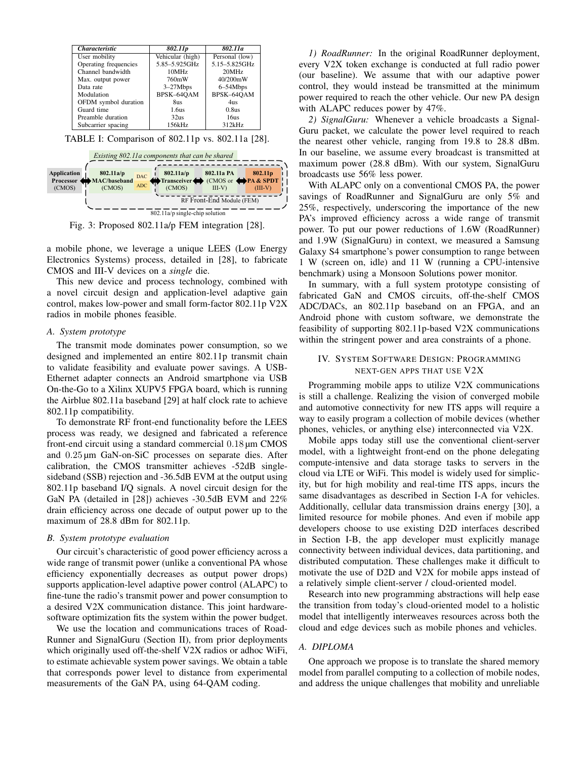| <i><b>Characteristic</b></i> | 802.11p          | 802.11a        |
|------------------------------|------------------|----------------|
| User mobility                | Vehicular (high) | Personal (low) |
| Operating frequencies        | 5.85-5.925GHz    | 5.15-5.825GHz  |
| Channel bandwidth            | 10MHz            | 20MHz          |
| Max. output power            | 760mW            | 40/200mW       |
| Data rate                    | $3-27Mbps$       | 6-54Mbps       |
| Modulation                   | BPSK-64OAM       | BPSK-64QAM     |
| OFDM symbol duration         | 8us              | 4us            |
| Guard time                   | 1.6us            | 0.8us          |
| Preamble duration            | 32us             | 16us           |
| Subcarrier spacing           | 156kHz           | 312kHz         |

TABLE I: Comparison of 802.11p vs. 802.11a [28].



Fig. 3: Proposed 802.11a/p FEM integration [28].

a mobile phone, we leverage a unique LEES (Low Energy Electronics Systems) process, detailed in [28], to fabricate CMOS and III-V devices on a *single* die.

This new device and process technology, combined with a novel circuit design and application-level adaptive gain control, makes low-power and small form-factor 802.11p V2X radios in mobile phones feasible.

# *A. System prototype*

The transmit mode dominates power consumption, so we designed and implemented an entire 802.11p transmit chain to validate feasibility and evaluate power savings. A USB-Ethernet adapter connects an Android smartphone via USB On-the-Go to a Xilinx XUPV5 FPGA board, which is running the Airblue 802.11a baseband [29] at half clock rate to achieve 802.11p compatibility.

To demonstrate RF front-end functionality before the LEES process was ready, we designed and fabricated a reference front-end circuit using a standard commercial 0.18 µm CMOS and 0.25 µm GaN-on-SiC processes on separate dies. After calibration, the CMOS transmitter achieves -52dB singlesideband (SSB) rejection and -36.5dB EVM at the output using 802.11p baseband I/Q signals. A novel circuit design for the GaN PA (detailed in [28]) achieves -30.5dB EVM and 22% drain efficiency across one decade of output power up to the maximum of 28.8 dBm for 802.11p.

#### *B. System prototype evaluation*

Our circuit's characteristic of good power efficiency across a wide range of transmit power (unlike a conventional PA whose efficiency exponentially decreases as output power drops) supports application-level adaptive power control (ALAPC) to fine-tune the radio's transmit power and power consumption to a desired V2X communication distance. This joint hardwaresoftware optimization fits the system within the power budget.

We use the location and communications traces of Road-Runner and SignalGuru (Section II), from prior deployments which originally used off-the-shelf V2X radios or adhoc WiFi, to estimate achievable system power savings. We obtain a table that corresponds power level to distance from experimental measurements of the GaN PA, using 64-QAM coding.

*1) RoadRunner:* In the original RoadRunner deployment, every V2X token exchange is conducted at full radio power (our baseline). We assume that with our adaptive power control, they would instead be transmitted at the minimum power required to reach the other vehicle. Our new PA design with ALAPC reduces power by 47%.

*2) SignalGuru:* Whenever a vehicle broadcasts a Signal-Guru packet, we calculate the power level required to reach the nearest other vehicle, ranging from 19.8 to 28.8 dBm. In our baseline, we assume every broadcast is transmitted at maximum power (28.8 dBm). With our system, SignalGuru broadcasts use 56% less power.

With ALAPC only on a conventional CMOS PA, the power savings of RoadRunner and SignalGuru are only 5% and 25%, respectively, underscoring the importance of the new PA's improved efficiency across a wide range of transmit power. To put our power reductions of 1.6W (RoadRunner) and 1.9W (SignalGuru) in context, we measured a Samsung Galaxy S4 smartphone's power consumption to range between 1 W (screen on, idle) and 11 W (running a CPU-intensive benchmark) using a Monsoon Solutions power monitor.

In summary, with a full system prototype consisting of fabricated GaN and CMOS circuits, off-the-shelf CMOS ADC/DACs, an 802.11p baseband on an FPGA, and an Android phone with custom software, we demonstrate the feasibility of supporting 802.11p-based V2X communications within the stringent power and area constraints of a phone.

# IV. SYSTEM SOFTWARE DESIGN: PROGRAMMING NEXT-GEN APPS THAT USE V2X

Programming mobile apps to utilize V2X communications is still a challenge. Realizing the vision of converged mobile and automotive connectivity for new ITS apps will require a way to easily program a collection of mobile devices (whether phones, vehicles, or anything else) interconnected via V2X.

Mobile apps today still use the conventional client-server model, with a lightweight front-end on the phone delegating compute-intensive and data storage tasks to servers in the cloud via LTE or WiFi. This model is widely used for simplicity, but for high mobility and real-time ITS apps, incurs the same disadvantages as described in Section I-A for vehicles. Additionally, cellular data transmission drains energy [30], a limited resource for mobile phones. And even if mobile app developers choose to use existing D2D interfaces described in Section I-B, the app developer must explicitly manage connectivity between individual devices, data partitioning, and distributed computation. These challenges make it difficult to motivate the use of D2D and V2X for mobile apps instead of a relatively simple client-server / cloud-oriented model.

Research into new programming abstractions will help ease the transition from today's cloud-oriented model to a holistic model that intelligently interweaves resources across both the cloud and edge devices such as mobile phones and vehicles.

## *A. DIPLOMA*

One approach we propose is to translate the shared memory model from parallel computing to a collection of mobile nodes, and address the unique challenges that mobility and unreliable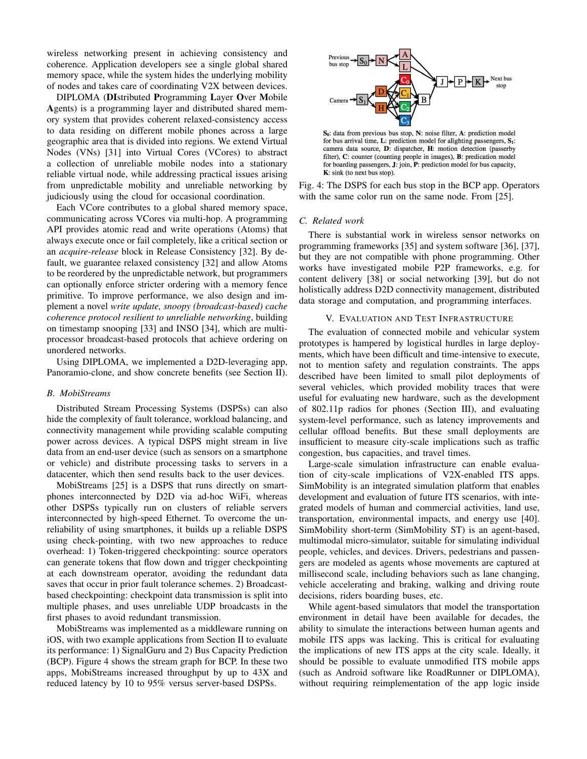wireless networking present in achieving consistency and coherence. Application developers see a single global shared memory space, while the system hides the underlying mobility of nodes and takes care of coordinating V2X between devices.

DIPLOMA (DIstributed Programming Layer Over Mobile Agents) is a programming layer and distributed shared memory system that provides coherent relaxed-consistency access to data residing on different mobile phones across a large geographic area that is divided into regions. We extend Virtual Nodes (VNs) [31] into Virtual Cores (VCores) to abstract a collection of unreliable mobile nodes into a stationary reliable virtual node, while addressing practical issues arising from unpredictable mobility and unreliable networking by judiciously using the cloud for occasional coordination.

Each VCore contributes to a global shared memory space, communicating across VCores via multi-hop. A programming API provides atomic read and write operations (Atoms) that always execute once or fail completely, like a critical section or an *acquire-release* block in Release Consistency [32]. By default, we guarantee relaxed consistency [32] and allow Atoms to be reordered by the unpredictable network, but programmers can optionally enforce stricter ordering with a memory fence primitive. To improve performance, we also design and implement a novel *write update, snoopy (broadcast-based) cache coherence protocol resilient to unreliable networking*, building on timestamp snooping [33] and INSO [34], which are multiprocessor broadcast-based protocols that achieve ordering on unordered networks.

Using DIPLOMA, we implemented a D2D-leveraging app, Panoramio-clone, and show concrete benefits (see Section II).

## *B. MobiStreams*

Distributed Stream Processing Systems (DSPSs) can also hide the complexity of fault tolerance, workload balancing, and connectivity management while providing scalable computing power across devices. A typical DSPS might stream in live data from an end-user device (such as sensors on a smartphone or vehicle) and distribute processing tasks to servers in a datacenter, which then send results back to the user devices.

MobiStreams [25] is a DSPS that runs directly on smartphones interconnected by D2D via ad-hoc WiFi, whereas other DSPSs typically run on clusters of reliable servers interconnected by high-speed Ethernet. To overcome the unreliability of using smartphones, it builds up a reliable DSPS using check-pointing, with two new approaches to reduce overhead: 1) Token-triggered checkpointing: source operators can generate tokens that flow down and trigger checkpointing at each downstream operator, avoiding the redundant data saves that occur in prior fault tolerance schemes. 2) Broadcastbased checkpointing: checkpoint data transmission is split into multiple phases, and uses unreliable UDP broadcasts in the first phases to avoid redundant transmission.

MobiStreams was implemented as a middleware running on iOS, with two example applications from Section II to evaluate its performance: 1) SignalGuru and 2) Bus Capacity Prediction (BCP). Figure 4 shows the stream graph for BCP. In these two apps, MobiStreams increased throughput by up to 43X and reduced latency by 10 to 95% versus server-based DSPSs.



 $S_0$ : data from previous bus stop, N: noise filter, A: prediction model for bus arrival time, L: prediction model for alighting passengers, S<sub>1</sub>: camera data source, D: dispatcher, H: motion detection (passerby filter), C: counter (counting people in images), B: predication model for boarding passengers, J: join, P: prediction model for bus capacity, K: sink (to next bus stop).

Fig. 4: The DSPS for each bus stop in the BCP app. Operators with the same color run on the same node. From [25].

#### *C. Related work*

There is substantial work in wireless sensor networks on programming frameworks [35] and system software [36], [37], but they are not compatible with phone programming. Other works have investigated mobile P2P frameworks, e.g. for content delivery [38] or social networking [39], but do not holistically address D2D connectivity management, distributed data storage and computation, and programming interfaces.

#### V. EVALUATION AND TEST INFRASTRUCTURE

The evaluation of connected mobile and vehicular system prototypes is hampered by logistical hurdles in large deployments, which have been difficult and time-intensive to execute, not to mention safety and regulation constraints. The apps described have been limited to small pilot deployments of several vehicles, which provided mobility traces that were useful for evaluating new hardware, such as the development of 802.11p radios for phones (Section III), and evaluating system-level performance, such as latency improvements and cellular offload benefits. But these small deployments are insufficient to measure city-scale implications such as traffic congestion, bus capacities, and travel times.

Large-scale simulation infrastructure can enable evaluation of city-scale implications of V2X-enabled ITS apps. SimMobility is an integrated simulation platform that enables development and evaluation of future ITS scenarios, with integrated models of human and commercial activities, land use, transportation, environmental impacts, and energy use [40]. SimMobility short-term (SimMobility ST) is an agent-based, multimodal micro-simulator, suitable for simulating individual people, vehicles, and devices. Drivers, pedestrians and passengers are modeled as agents whose movements are captured at millisecond scale, including behaviors such as lane changing, vehicle accelerating and braking, walking and driving route decisions, riders boarding buses, etc.

While agent-based simulators that model the transportation environment in detail have been available for decades, the ability to simulate the interactions between human agents and mobile ITS apps was lacking. This is critical for evaluating the implications of new ITS apps at the city scale. Ideally, it should be possible to evaluate unmodified ITS mobile apps (such as Android software like RoadRunner or DIPLOMA), without requiring reimplementation of the app logic inside